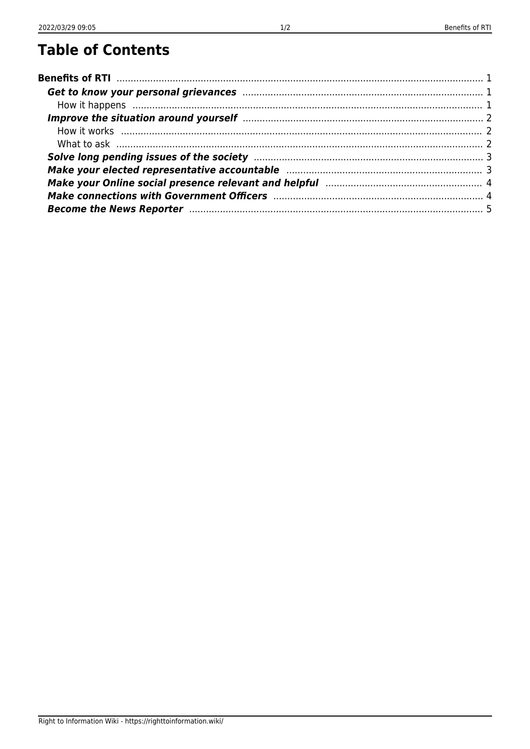| Make your Online social presence relevant and helpful manufacture and the your Online social presence relevant |  |
|----------------------------------------------------------------------------------------------------------------|--|
|                                                                                                                |  |
|                                                                                                                |  |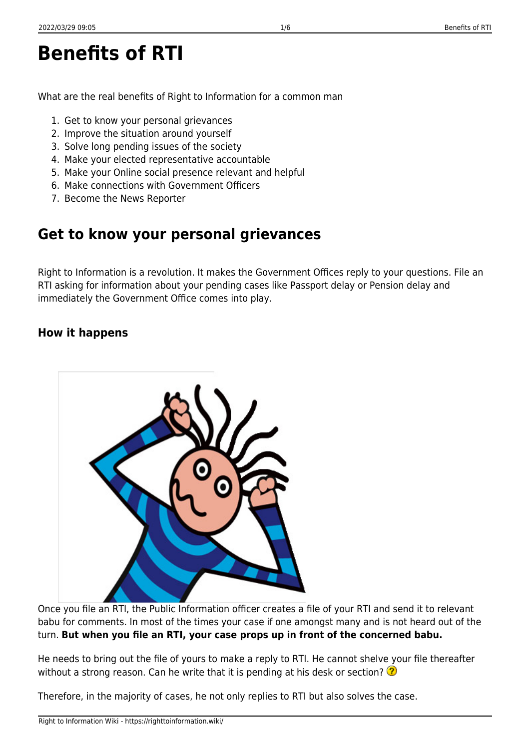<span id="page-2-0"></span>**Benefits of RTI**

What are the real benefits of Right to Information for a common man

- 1. Get to know your personal grievances
- 2. Improve the situation around yourself
- 3. Solve long pending issues of the society
- 4. Make your elected representative accountable
- 5. Make your Online social presence relevant and helpful
- 6. Make connections with Government Officers
- 7. Become the News Reporter

# <span id="page-2-1"></span>**Get to know your personal grievances**

Right to Information is a revolution. It makes the Government Offices reply to your questions. File an RTI asking for information about your pending cases like Passport delay or Pension delay and immediately the Government Office comes into play.

### <span id="page-2-2"></span>**How it happens**

Once you file an RTI, the Public Information officer creates a file of your RTI and send it to relevant babu for comments. In most of the times your case if one amongst many and is not heard out of the turn. **But when you file an RTI, your case props up in front of the concerned babu.**

He needs to bring out the file of yours to make a reply to RTI. He cannot shelve your file thereafter without a strong reason. Can he write that it is pending at his desk or section?  $\Omega$ 

Therefore, in the majority of cases, he not only replies to RTI but also solves the case.

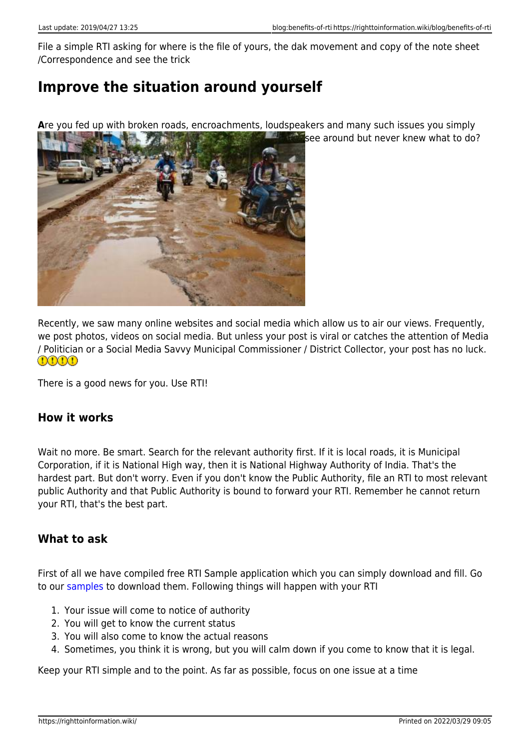File a simple RTI asking for where is the file of yours, the dak movement and copy of the note sheet /Correspondence and see the trick

# <span id="page-3-0"></span>**Improve the situation around yourself**

Are you fed up with broken roads, encroachments, loudspeakers and many such issues you simply



Recently, we saw many online websites and social media which allow us to air our views. Frequently, we post photos, videos on social media. But unless your post is viral or catches the attention of Media / Politician or a Social Media Savvy Municipal Commissioner / District Collector, your post has no luck.  $0000$ 

There is a good news for you. Use RTI!

#### <span id="page-3-1"></span>**How it works**

Wait no more. Be smart. Search for the relevant authority first. If it is local roads, it is Municipal Corporation, if it is National High way, then it is National Highway Authority of India. That's the hardest part. But don't worry. Even if you don't know the Public Authority, file an RTI to most relevant public Authority and that Public Authority is bound to forward your RTI. Remember he cannot return your RTI, that's the best part.

#### <span id="page-3-2"></span>**What to ask**

First of all we have compiled free RTI Sample application which you can simply download and fill. Go to our [samples](https://righttoinformation.wiki/guide/applicant/application/sample/start) to download them. Following things will happen with your RTI

- 1. Your issue will come to notice of authority
- 2. You will get to know the current status
- 3. You will also come to know the actual reasons
- 4. Sometimes, you think it is wrong, but you will calm down if you come to know that it is legal.

Keep your RTI simple and to the point. As far as possible, focus on one issue at a time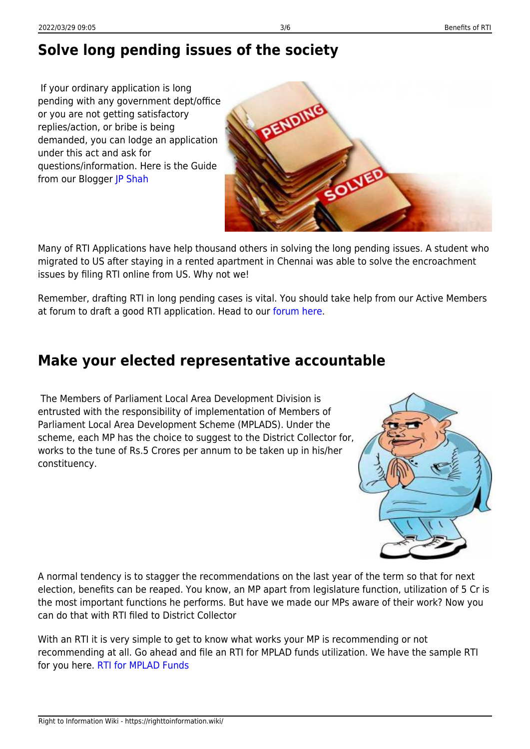# <span id="page-4-0"></span>**Solve long pending issues of the society**

 If your ordinary application is long pending with any government dept/office or you are not getting satisfactory replies/action, or bribe is being demanded, you can lodge an application under this act and ask for questions/information. Here is the Guide from our Blogger [JP Shah](https://rtiindia.org/blogs/entry/18-any-thing-pending-with-govt/)



Many of RTI Applications have help thousand others in solving the long pending issues. A student who migrated to US after staying in a rented apartment in Chennai was able to solve the encroachment issues by filing RTI online from US. Why not we!

Remember, drafting RTI in long pending cases is vital. You should take help from our Active Members at forum to draft a good RTI application. Head to our [forum here.](https://rtiindia.org)

## <span id="page-4-1"></span>**Make your elected representative accountable**

 The Members of Parliament Local Area Development Division is entrusted with the responsibility of implementation of Members of Parliament Local Area Development Scheme (MPLADS). Under the scheme, each MP has the choice to suggest to the District Collector for, works to the tune of Rs.5 Crores per annum to be taken up in his/her constituency.



A normal tendency is to stagger the recommendations on the last year of the term so that for next election, benefits can be reaped. You know, an MP apart from legislature function, utilization of 5 Cr is the most important functions he performs. But have we made our MPs aware of their work? Now you can do that with RTI filed to District Collector

With an RTI it is very simple to get to know what works your MP is recommending or not recommending at all. Go ahead and file an RTI for MPLAD funds utilization. We have the sample RTI for you here. [RTI for MPLAD Funds](https://righttoinformation.wiki/guide/applicant/application/sample/mla-fund)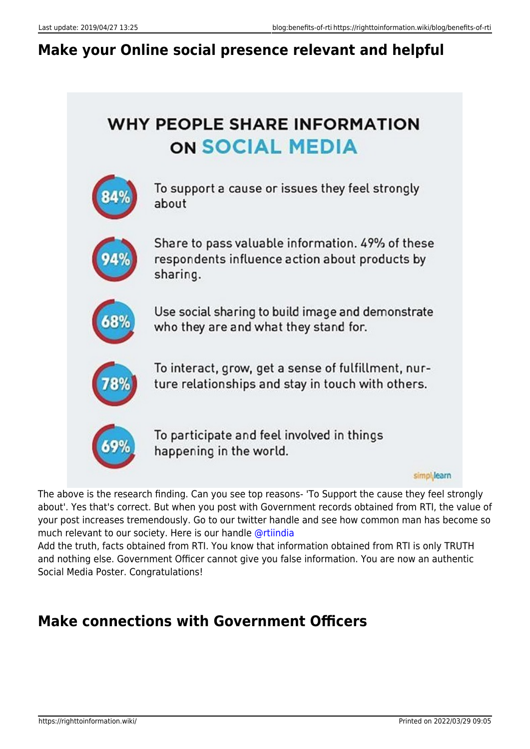# <span id="page-5-0"></span>**Make your Online social presence relevant and helpful**

# **WHY PEOPLE SHARE INFORMATION ON SOCIAL MEDIA**



To support a cause or issues they feel strongly about



Share to pass valuable information. 49% of these respondents influence action about products by sharing.



Use social sharing to build image and demonstrate who they are and what they stand for.



To interact, grow, get a sense of fulfillment, nurture relationships and stay in touch with others.



To participate and feel involved in things happening in the world.

simpl<sub>i</sub>learn

The above is the research finding. Can you see top reasons- 'To Support the cause they feel strongly about'. Yes that's correct. But when you post with Government records obtained from RTI, the value of your post increases tremendously. Go to our twitter handle and see how common man has become so much relevant to our society. Here is our handle [@rtiindia](https://twitter.com/rtiindia)

Add the truth, facts obtained from RTI. You know that information obtained from RTI is only TRUTH and nothing else. Government Officer cannot give you false information. You are now an authentic Social Media Poster. Congratulations!

# <span id="page-5-1"></span>**Make connections with Government Officers**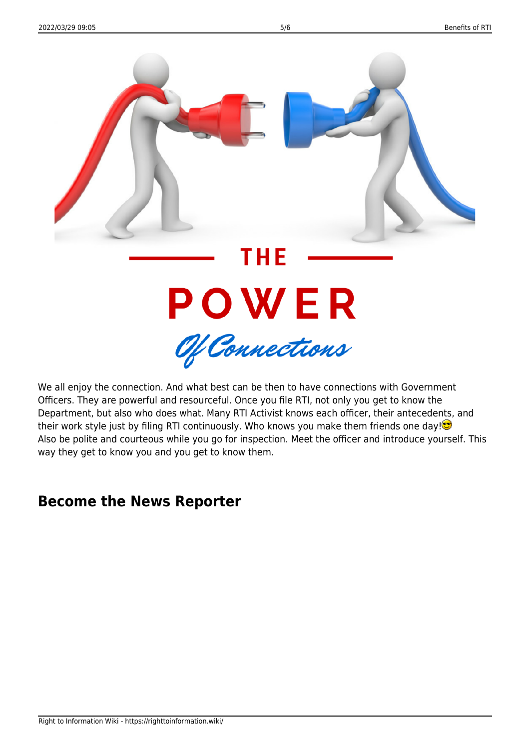

We all enjoy the connection. And what best can be then to have connections with Government Officers. They are powerful and resourceful. Once you file RTI, not only you get to know the Department, but also who does what. Many RTI Activist knows each officer, their antecedents, and their work style just by filing RTI continuously. Who knows you make them friends one day! $\bullet$ Also be polite and courteous while you go for inspection. Meet the officer and introduce yourself. This way they get to know you and you get to know them.

## <span id="page-6-0"></span>**Become the News Reporter**